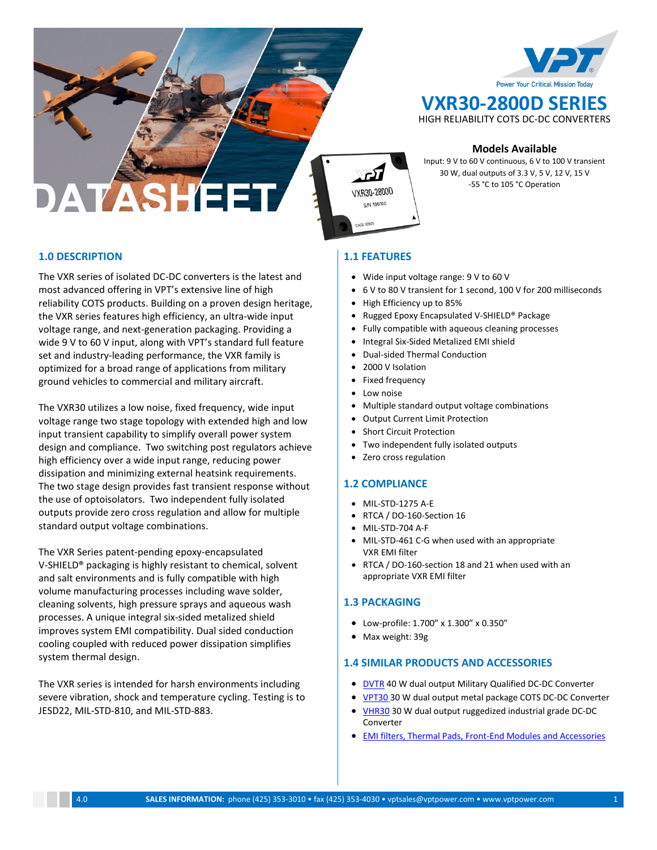

**VXR30-2800D SERIES** HIGH RELIABILITY COTS DC-DC CONVERTERS

**Models Available**

Input: 9 V to 60 V continuous, 6 V to 100 V transient 30 W, dual outputs of 3.3 V, 5 V, 12 V, 15 V -55 °C to 105 °C Operation

**1.0 DESCRIPTION**

The VXR series of isolated DC-DC converters is the latest and most advanced offering in VPT's extensive line of high reliability COTS products. Building on a proven design heritage, the VXR series features high efficiency, an ultra-wide input voltage range, and next-generation packaging. Providing a wide 9 V to 60 V input, along with VPT's standard full feature set and industry-leading performance, the VXR family is optimized for a broad range of applications from military ground vehicles to commercial and military aircraft.

The VXR30 utilizes a low noise, fixed frequency, wide input voltage range two stage topology with extended high and low input transient capability to simplify overall power system design and compliance. Two switching post regulators achieve high efficiency over a wide input range, reducing power dissipation and minimizing external heatsink requirements. The two stage design provides fast transient response without the use of optoisolators. Two independent fully isolated outputs provide zero cross regulation and allow for multiple standard output voltage combinations.

The VXR Series patent-pending epoxy-encapsulated V-SHIELD® packaging is highly resistant to chemical, solvent and salt environments and is fully compatible with high volume manufacturing processes including wave solder, cleaning solvents, high pressure sprays and aqueous wash processes. A unique integral six-sided metalized shield improves system EMI compatibility. Dual sided conduction cooling coupled with reduced power dissipation simplifies system thermal design.

The VXR series is intended for harsh environments including severe vibration, shock and temperature cycling. Testing is to JESD22, MIL-STD-810, and MIL-STD-883.

# **1.1 FEATURES**

VXR30-2800D  $C/N$  100100

- Wide input voltage range: 9 V to 60 V
- 6 V to 80 V transient for 1 second, 100 V for 200 milliseconds
- High Efficiency up to 85%
- Rugged Epoxy Encapsulated V-SHIELD® Package
- Fully compatible with aqueous cleaning processes
- Integral Six-Sided Metalized EMI shield
- Dual-sided Thermal Conduction
- 2000 V Isolation
- Fixed frequency
- Low noise
- Multiple standard output voltage combinations
- Output Current Limit Protection
- Short Circuit Protection
- Two independent fully isolated outputs
- Zero cross regulation

# **1.2 COMPLIANCE**

- MIL-STD-1275 A-E
- RTCA / DO-160-Section 16
- MIL-STD-704 A-F
- MIL-STD-461 C-G when used with an appropriate VXR EMI filter
- RTCA / DO-160-section 18 and 21 when used with an appropriate VXR EMI filter

# **1.3 PACKAGING**

- Low-profile: 1.700" x 1.300" x 0.350"
- Max weight: 39g

# **1.4 SIMILAR PRODUCTS AND ACCESSORIES**

- **[DVTR](http://www.vptpower.com/wp-content/uploads/downloads/2016/10/DS-DVTR2800D-9.01.pdf)** 40 W dual output Military Qualified DC-DC Converter
- [VPT30](http://www.vptpower.com/wp-content/uploads/downloads/2014/09/DS-VPT30-2800D-5.0.pdf) 30 W dual output metal package COTS DC-DC Converter
- [VHR30](http://www.vptpower.com/wp-content/uploads/downloads/2016/10/DS-VHR30-2800D-3.0.pdf) 30 W dual output ruggedized industrial grade DC-DC Converter
- [EMI filters,](http://www.vptpower.com/vpt-products/front-end-modules-accessories/) [Thermal Pads,](http://www.vptpower.com/vpt-products/thermal-pads/) [Front-End Modules and Accessories](http://www.vptpower.com/vpt-products/front-end-modules-accessories/)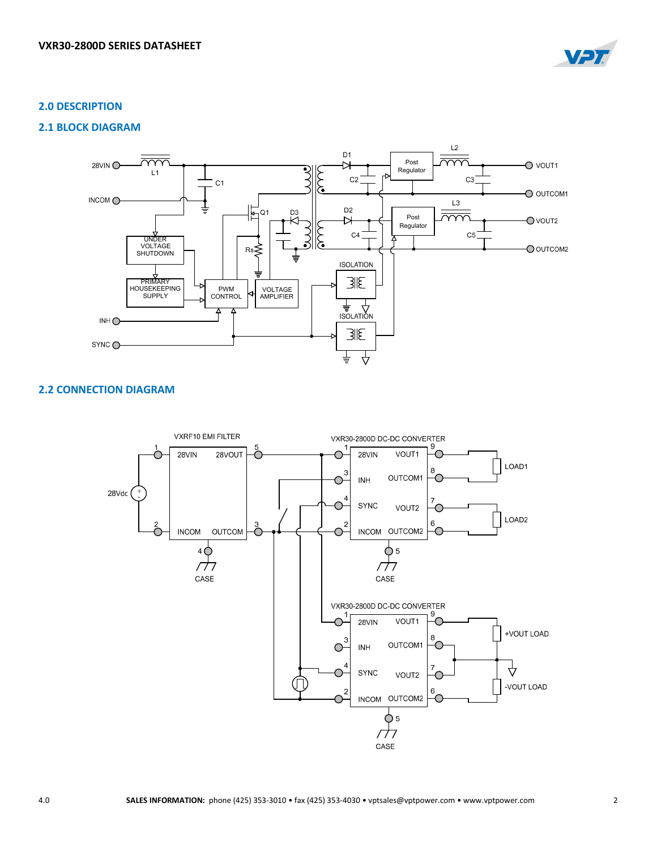

# **2.0 DESCRIPTION**

# **2.1 BLOCK DIAGRAM**



# **2.2 CONNECTION DIAGRAM**

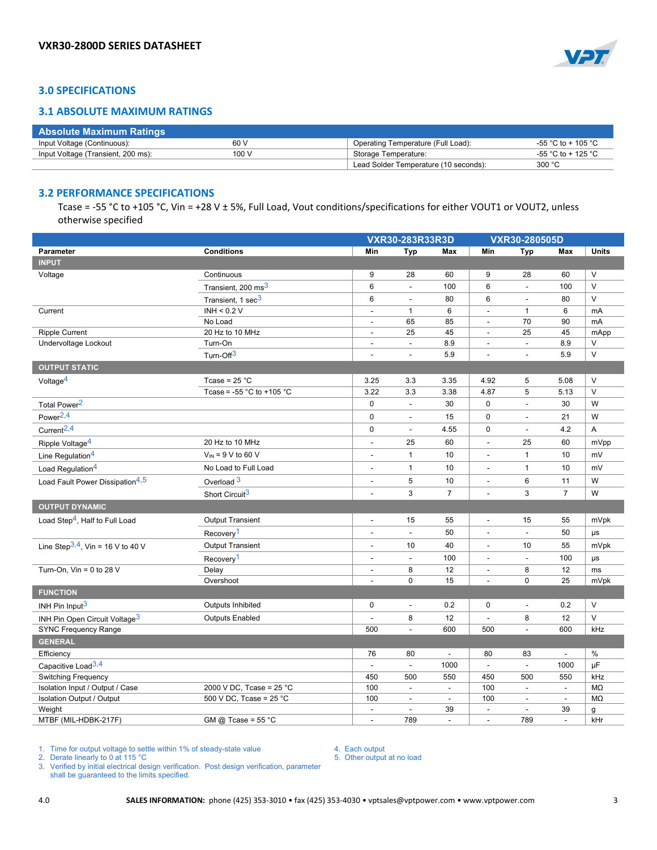

# **3.0 SPECIFICATIONS**

## **3.1 ABSOLUTE MAXIMUM RATINGS**

| <b>Absolute Maximum Ratings</b>    |       |                                       |                    |
|------------------------------------|-------|---------------------------------------|--------------------|
| Input Voltage (Continuous):        | 60 V  | Operating Temperature (Full Load):    | -55 °C to + 105 °C |
| Input Voltage (Transient, 200 ms): | 100 V | Storage Temperature:                  | -55 °C to + 125 °C |
|                                    |       | Lead Solder Temperature (10 seconds): | 300 °C             |

#### **3.2 PERFORMANCE SPECIFICATIONS**

Tcase = -55 °C to +105 °C, Vin = +28 V ± 5%, Full Load, Vout conditions/specifications for either VOUT1 or VOUT2, unless otherwise specified

|                                             |                                               |                          | VXR30-280505D<br>VXR30-283R33R3D |                          |                          |                          |                          |              |
|---------------------------------------------|-----------------------------------------------|--------------------------|----------------------------------|--------------------------|--------------------------|--------------------------|--------------------------|--------------|
| Parameter                                   | <b>Conditions</b>                             | Min                      | <b>Typ</b>                       | Max                      | Min                      | <b>Typ</b>               | Max                      | <b>Units</b> |
| <b>INPUT</b>                                |                                               |                          |                                  |                          |                          |                          |                          |              |
| Voltage                                     | Continuous                                    | 9                        | 28                               | 60                       | 9                        | 28                       | 60                       | $\mathsf{V}$ |
|                                             | Transient, 200 ms <sup>3</sup>                | 6                        |                                  | 100                      | 6                        | $\overline{\phantom{a}}$ | 100                      | $\vee$       |
|                                             | Transient, 1 sec <sup>3</sup>                 | 6                        |                                  | 80                       | 6                        | $\overline{\phantom{a}}$ | 80                       | $\vee$       |
| Current                                     | INH < 0.2 V                                   | $\blacksquare$           | $\mathbf{1}$                     | 6                        | $\overline{\phantom{a}}$ | $\mathbf{1}$             | 6                        | mA           |
|                                             | No Load                                       | $\blacksquare$           | 65                               | 85                       | $\blacksquare$           | 70                       | 90                       | mA           |
| <b>Ripple Current</b>                       | 20 Hz to 10 MHz                               | $\blacksquare$           | 25                               | 45                       | $\overline{\phantom{a}}$ | 25                       | 45                       | mApp         |
| Undervoltage Lockout                        | Turn-On                                       |                          |                                  | 8.9                      |                          | $\overline{a}$           | 8.9                      | V            |
|                                             | Turn-Off <sup>3</sup>                         | $\overline{a}$           | $\overline{a}$                   | 5.9                      | ÷,                       | $\blacksquare$           | 5.9                      | V            |
| <b>OUTPUT STATIC</b>                        |                                               |                          |                                  |                          |                          |                          |                          |              |
| Voltage $4$                                 | Tcase = $25 °C$                               | 3.25                     | 3.3                              | 3.35                     | 4.92                     | 5                        | 5.08                     | V            |
|                                             | Tcase = -55 $^{\circ}$ C to +105 $^{\circ}$ C | 3.22                     | 3.3                              | 3.38                     | 4.87                     | 5                        | 5.13                     | $\vee$       |
| Total Power <sup>2</sup>                    |                                               | 0                        | $\overline{\phantom{a}}$         | 30                       | 0                        | $\Box$                   | 30                       | W            |
| Power <sup>2,4</sup>                        |                                               | 0                        | $\overline{a}$                   | 15                       | 0                        | $\overline{\phantom{a}}$ | 21                       | W            |
| Current <sup>2,4</sup>                      |                                               | $\mathbf 0$              | $\overline{a}$                   | 4.55                     | 0                        | $\blacksquare$           | 4.2                      | A            |
| Ripple Voltage <sup>4</sup>                 | 20 Hz to 10 MHz                               | $\overline{a}$           | 25                               | 60                       | $\ddot{\phantom{a}}$     | 25                       | 60                       | mVpp         |
| Line Regulation <sup>4</sup>                | $V_{IN}$ = 9 V to 60 V                        | $\overline{a}$           | 1                                | 10                       | $\overline{\phantom{a}}$ | $\mathbf{1}$             | 10                       | mV           |
| Load Regulation <sup>4</sup>                | No Load to Full Load                          |                          | 1                                | 10                       | $\overline{\phantom{a}}$ | $\mathbf{1}$             | 10                       | mV           |
| Load Fault Power Dissipation <sup>4,5</sup> | Overload <sup>3</sup>                         |                          | 5                                | 10                       |                          | $\,6$                    | 11                       | W            |
|                                             | Short Circuit <sup>3</sup>                    | $\overline{a}$           | 3                                | $\overline{7}$           | ÷,                       | 3                        | $\overline{7}$           | W            |
| <b>OUTPUT DYNAMIC</b>                       |                                               |                          |                                  |                          |                          |                          |                          |              |
| Load Step <sup>4</sup> , Half to Full Load  | <b>Output Transient</b>                       | $\Box$                   | 15                               | 55                       | $\blacksquare$           | 15                       | 55                       | mVpk         |
|                                             | Recovery <sup>1</sup>                         | $\Box$                   | $\blacksquare$                   | 50                       | ÷,                       | $\omega$                 | 50                       | $\mu s$      |
| Line Step $3, 4$ , Vin = 16 V to 40 V       | <b>Output Transient</b>                       | $\blacksquare$           | 10                               | 40                       | $\blacksquare$           | 10                       | 55                       | mVpk         |
|                                             | Recovery <sup>1</sup>                         | $\blacksquare$           | $\overline{a}$                   | 100                      | Ĭ.                       | $\overline{\phantom{a}}$ | 100                      | μs           |
| Turn-On, $V$ in = 0 to 28 V                 | Delay                                         | $\overline{a}$           | 8                                | 12                       | $\overline{\phantom{a}}$ | 8                        | 12                       | ms           |
|                                             | Overshoot                                     | $\overline{\phantom{a}}$ | $\mathbf 0$                      | 15                       | $\blacksquare$           | $\pmb{0}$                | 25                       | mVpk         |
| <b>FUNCTION</b>                             |                                               |                          |                                  |                          |                          |                          |                          |              |
| INH Pin Input <sup>3</sup>                  | Outputs Inhibited                             | 0                        | $\blacksquare$                   | 0.2                      | $\pmb{0}$                | $\overline{\phantom{a}}$ | 0.2                      | V            |
| INH Pin Open Circuit Voltage <sup>3</sup>   | <b>Outputs Enabled</b>                        | $\overline{\phantom{a}}$ | 8                                | 12                       | $\overline{a}$           | 8                        | 12                       | $\vee$       |
| <b>SYNC Frequency Range</b>                 |                                               | 500                      | $\overline{a}$                   | 600                      | 500                      | $\overline{\phantom{a}}$ | 600                      | kHz          |
| <b>GENERAL</b>                              |                                               |                          |                                  |                          |                          |                          |                          |              |
| Efficiency                                  |                                               | 76                       | 80                               | $\sim$                   | 80                       | 83                       | $\mathbb{Z}^2$           | $\%$         |
| Capacitive Load <sup>3,4</sup>              |                                               |                          |                                  | 1000                     | $\blacksquare$           | $\overline{\phantom{a}}$ | 1000                     | $\mu$ F      |
| <b>Switching Frequency</b>                  |                                               | 450                      | 500                              | 550                      | 450                      | 500                      | 550                      | kHz          |
| Isolation Input / Output / Case             | 2000 V DC, Tcase = $25^{\circ}$ C             | 100                      | $\overline{\phantom{a}}$         | $\overline{\phantom{a}}$ | 100                      | $\overline{\phantom{a}}$ | $\overline{\phantom{a}}$ | MΩ           |
| <b>Isolation Output / Output</b>            | 500 V DC, Tcase = 25 °C                       | 100                      | $\overline{a}$                   | $\blacksquare$           | 100                      | $\overline{\phantom{a}}$ | $\blacksquare$           | MΩ           |
| Weight                                      |                                               | $\blacksquare$           | $\overline{\phantom{a}}$         | 39                       | $\blacksquare$           | $\blacksquare$           | 39                       | g            |
| MTBF (MIL-HDBK-217F)                        | GM @ Tcase = $55 °C$                          | $\blacksquare$           | 789                              | $\blacksquare$           | $\overline{\phantom{a}}$ | 789                      | $\blacksquare$           | kHr          |

#### 1. Time for output voltage to settle within 1% of steady-state value

2. Derate linearly to 0 at 115 °C

3. Verified by initial electrical design verification. Post design verification, parameter shall be guaranteed to the limits specified.

4. Each output 5. Other output at no load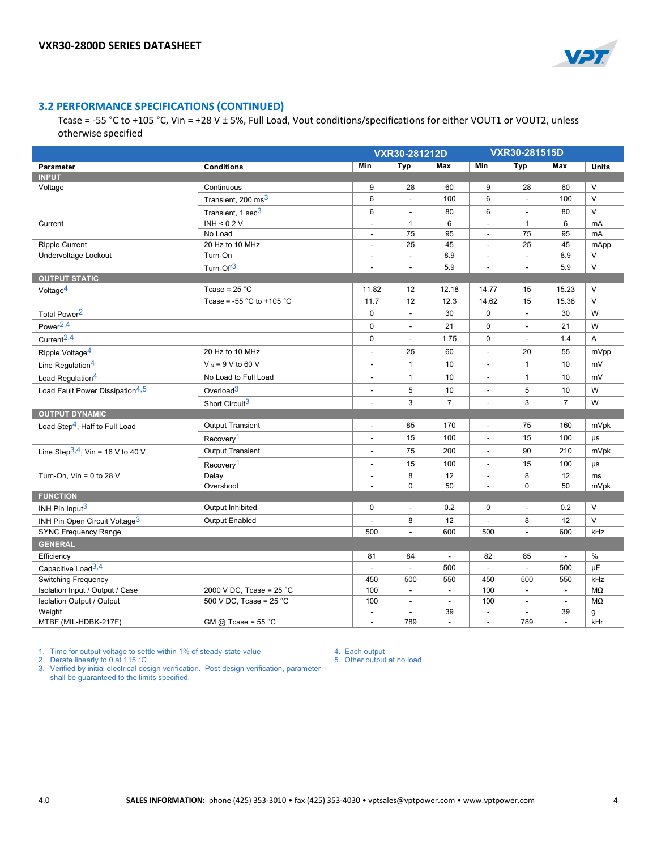

# **3.2 PERFORMANCE SPECIFICATIONS (CONTINUED)**

Tcase = -55 °C to +105 °C, Vin = +28 V ± 5%, Full Load, Vout conditions/specifications for either VOUT1 or VOUT2, unless otherwise specified

|                                             |                                               |                          | VXR30-281515D<br>VXR30-281212D |                          |                          |                          |                |               |
|---------------------------------------------|-----------------------------------------------|--------------------------|--------------------------------|--------------------------|--------------------------|--------------------------|----------------|---------------|
| Parameter                                   | <b>Conditions</b>                             | Min                      | <b>Typ</b>                     | Max                      | Min                      | <b>Typ</b>               | Max            | <b>Units</b>  |
| <b>INPUT</b>                                |                                               |                          |                                |                          |                          |                          |                |               |
| Voltage                                     | Continuous                                    | 9                        | 28                             | 60                       | 9                        | 28                       | 60             | $\vee$        |
|                                             | Transient, 200 ms <sup>3</sup>                | 6                        | $\overline{\phantom{a}}$       | 100                      | 6                        | $\overline{\phantom{a}}$ | 100            | $\vee$        |
|                                             | Transient, 1 sec <sup>3</sup>                 | 6                        | $\overline{\phantom{a}}$       | 80                       | 6                        | $\blacksquare$           | 80             | $\vee$        |
| Current                                     | INH < $0.2$ V                                 | $\blacksquare$           | $\mathbf{1}$                   | 6                        | $\overline{a}$           | $\mathbf{1}$             | 6              | mA            |
|                                             | No Load                                       | $\blacksquare$           | 75                             | 95                       | $\overline{a}$           | 75                       | 95             | mA            |
| <b>Ripple Current</b>                       | 20 Hz to 10 MHz                               | $\blacksquare$           | 25                             | 45                       | $\blacksquare$           | 25                       | 45             | mApp          |
| Undervoltage Lockout                        | Turn-On                                       | $\blacksquare$           |                                | 8.9                      | $\blacksquare$           | $\blacksquare$           | 8.9            | $\vee$        |
|                                             | Turn-Off <sup>3</sup>                         |                          |                                | 5.9                      |                          | $\overline{a}$           | 5.9            | $\vee$        |
| <b>OUTPUT STATIC</b>                        |                                               |                          |                                |                          |                          |                          |                |               |
| Voltage <sup>4</sup>                        | Tcase = $25 °C$                               | 11.82                    | 12                             | 12.18                    | 14.77                    | 15                       | 15.23          | $\vee$        |
|                                             | Tcase = -55 $^{\circ}$ C to +105 $^{\circ}$ C | 11.7                     | 12                             | 12.3                     | 14.62                    | 15                       | 15.38          | $\vee$        |
| Total Power <sup>2</sup>                    |                                               | 0                        | $\blacksquare$                 | 30                       | $\pmb{0}$                | $\overline{\phantom{a}}$ | 30             | W             |
| Power <sup>2,4</sup>                        |                                               | 0                        | L.                             | 21                       | $\mathbf 0$              | $\overline{\phantom{a}}$ | 21             | W             |
| Current <sup>2,4</sup>                      |                                               | 0                        | L.                             | 1.75                     | $\mathbf 0$              | ÷,                       | 1.4            | A             |
| Ripple Voltage <sup>4</sup>                 | 20 Hz to 10 MHz                               | $\overline{a}$           | 25                             | 60                       | $\overline{a}$           | 20                       | 55             | mVpp          |
| Line Regulation <sup>4</sup>                | $V_{IN}$ = 9 V to 60 V                        | $\overline{a}$           | $\mathbf{1}$                   | 10                       | $\overline{a}$           | $\mathbf{1}$             | 10             | mV            |
| Load Regulation <sup>4</sup>                | No Load to Full Load                          | $\overline{a}$           | $\mathbf{1}$                   | 10                       | $\overline{a}$           | $\mathbf{1}$             | 10             | mV            |
| Load Fault Power Dissipation <sup>4,5</sup> | Overload $3$                                  | $\overline{\phantom{a}}$ | 5                              | 10                       | $\overline{\phantom{a}}$ | 5                        | 10             | W             |
|                                             | Short Circuit <sup>3</sup>                    | $\overline{a}$           | 3                              | $\overline{7}$           | Ĭ.                       | 3                        | $\overline{7}$ | W             |
| <b>OUTPUT DYNAMIC</b>                       |                                               |                          |                                |                          |                          |                          |                |               |
| Load Step <sup>4</sup> , Half to Full Load  | <b>Output Transient</b>                       | $\blacksquare$           | 85                             | 170                      | $\overline{\phantom{a}}$ | 75                       | 160            | mVpk          |
|                                             | Recovery <sup>1</sup>                         | $\blacksquare$           | 15                             | 100                      | $\overline{\phantom{a}}$ | 15                       | 100            | $\mu s$       |
| Line Step $3, 4$ , Vin = 16 V to 40 V       | <b>Output Transient</b>                       | $\blacksquare$           | 75                             | 200                      | $\blacksquare$           | 90                       | 210            | mVpk          |
|                                             | Recovery <sup>1</sup>                         | $\blacksquare$           | 15                             | 100                      | Ĭ.                       | 15                       | 100            | μs            |
| Turn-On, $V$ in = 0 to 28 V                 | Delay                                         | $\overline{\phantom{a}}$ | 8                              | 12                       | $\overline{\phantom{a}}$ | 8                        | 12             | ms            |
|                                             | Overshoot                                     | $\blacksquare$           | $\pmb{0}$                      | 50                       |                          | $\pmb{0}$                | 50             | mVpk          |
| <b>FUNCTION</b>                             |                                               |                          |                                |                          |                          |                          |                |               |
| INH Pin Input $3$                           | Output Inhibited                              | 0                        | $\overline{\phantom{a}}$       | 0.2                      | $\mathbf 0$              | $\overline{\phantom{a}}$ | 0.2            | $\vee$        |
| INH Pin Open Circuit Voltage <sup>3</sup>   | Output Enabled                                | $\overline{a}$           | 8                              | 12                       |                          | 8                        | 12             | $\vee$        |
| <b>SYNC Frequency Range</b>                 |                                               | 500                      | $\blacksquare$                 | 600                      | 500                      | $\overline{\phantom{a}}$ | 600            | kHz           |
| <b>GENERAL</b>                              |                                               |                          |                                |                          |                          |                          |                |               |
| Efficiency                                  |                                               | 81                       | 84                             | $\overline{\phantom{a}}$ | 82                       | 85                       | $\blacksquare$ | $\frac{0}{0}$ |
| Capacitive Load $3,4$                       |                                               | $\overline{a}$           | $\overline{a}$                 | 500                      | $\blacksquare$           | $\overline{\phantom{a}}$ | 500            | μF            |
| Switching Frequency                         |                                               | 450                      | 500                            | 550                      | 450                      | 500                      | 550            | kHz           |
| Isolation Input / Output / Case             | 2000 V DC, Tcase = 25 °C                      | 100                      | $\overline{\phantom{a}}$       | $\overline{\phantom{a}}$ | 100                      | $\overline{\phantom{a}}$ | $\blacksquare$ | MΩ            |
| <b>Isolation Output / Output</b>            | 500 V DC, Tcase = 25 °C                       | 100                      | $\blacksquare$                 | $\blacksquare$           | 100                      | $\blacksquare$           | $\mathbf{r}$   | MΩ            |
| Weight                                      |                                               | $\blacksquare$           | $\overline{a}$                 | 39                       | $\overline{\phantom{a}}$ | $\overline{\phantom{a}}$ | 39             | g             |
| MTBF (MIL-HDBK-217F)                        | GM @ Tcase = $55 °C$                          | $\overline{a}$           | 789                            | $\overline{\phantom{a}}$ | $\overline{a}$           | 789                      | $\blacksquare$ | kHr           |

1. Time for output voltage to settle within 1% of steady-state value

2. Derate linearly to 0 at 115 °C

4. Each output 5. Other output at no load

3. Verified by initial electrical design verification. Post design verification, parameter shall be guaranteed to the limits specified.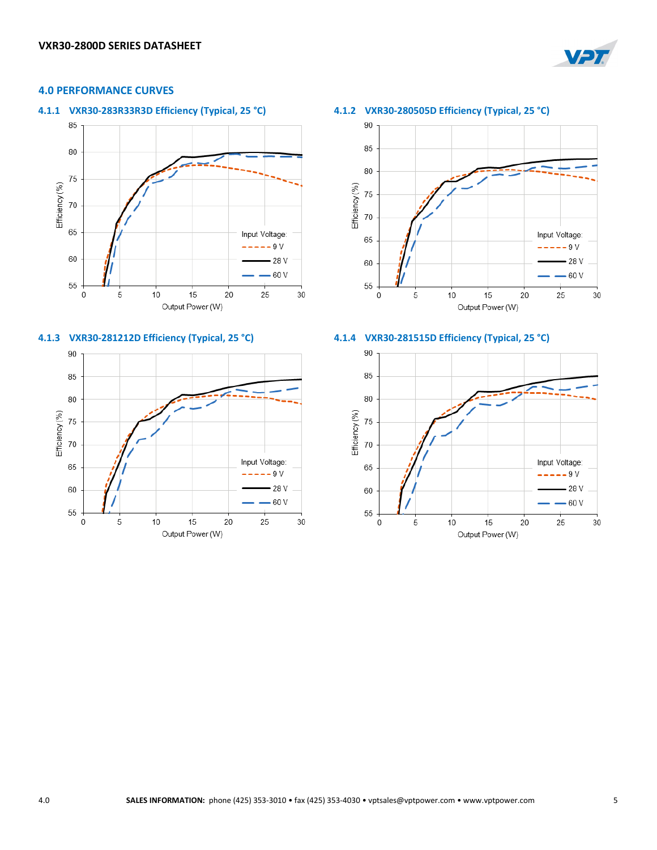

# **4.0 PERFORMANCE CURVES**

**4.1.1 VXR30-283R33R3D Efficiency (Typical, 25 °C) 4.1.2 VXR30-280505D Efficiency (Typical, 25 °C)**











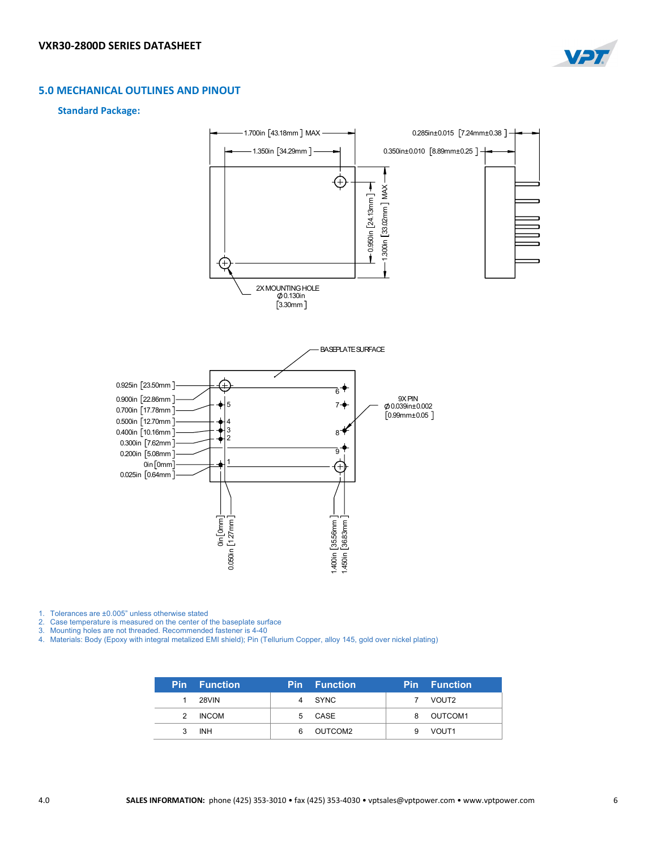

### **5.0 MECHANICAL OUTLINES AND PINOUT**

#### **Standard Package:**



1. Tolerances are ±0.005" unless otherwise stated

2. Case temperature is measured on the center of the baseplate surface

3. Mounting holes are not threaded. Recommended fastener is 4-40

4. Materials: Body (Epoxy with integral metalized EMI shield); Pin (Tellurium Copper, alloy 145, gold over nickel plating)

|   | <b>Pin</b> Function | <b>Pin</b> | <b>Function</b> |   | <b>Pin</b> Function |
|---|---------------------|------------|-----------------|---|---------------------|
|   | 28VIN               |            | SYNC            |   | VOUT2               |
| 2 | <b>INCOM</b>        | 5          | CASE            | 8 | OUTCOM1             |
|   | <b>INH</b>          | 6          | OUTCOM2         | 9 | VOUT <sub>1</sub>   |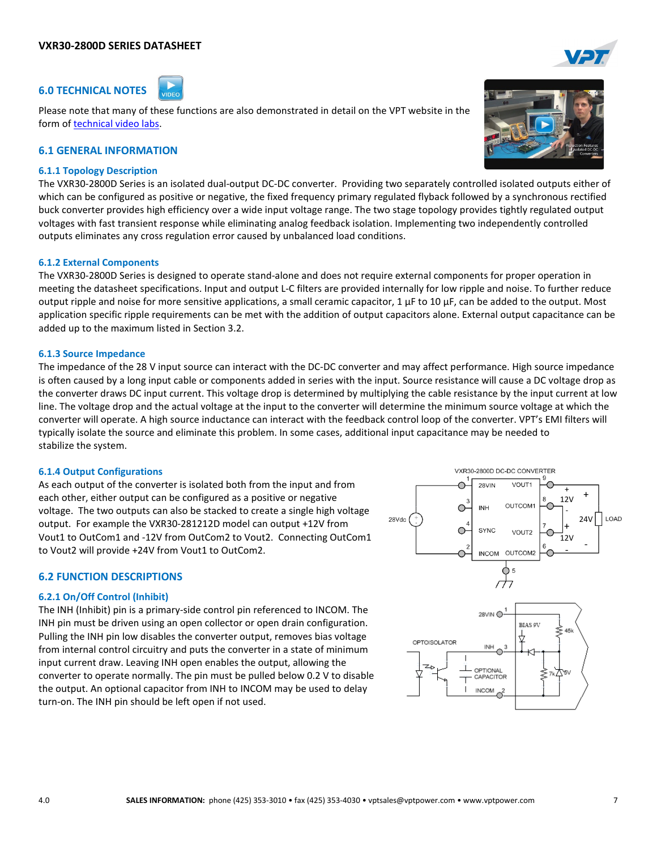### **VXR30-2800D SERIES DATASHEET**

# **6.0 TECHNICAL NOTES**

Please note that many of these functions are also demonstrated in detail on the VPT website in the form o[f technical video labs.](http://www.vptpower.com/data/vpt-video-labs/)

# **6.1 GENERAL INFORMATION**

#### **6.1.1 Topology Description**

The VXR30-2800D Series is an isolated dual-output DC-DC converter. Providing two separately controlled isolated outputs either of which can be configured as positive or negative, the fixed frequency primary regulated flyback followed by a synchronous rectified buck converter provides high efficiency over a wide input voltage range. The two stage topology provides tightly regulated output voltages with fast transient response while eliminating analog feedback isolation. Implementing two independently controlled outputs eliminates any cross regulation error caused by unbalanced load conditions.

#### **6.1.2 External Components**

The VXR30-2800D Series is designed to operate stand-alone and does not require external components for proper operation in meeting the datasheet specifications. Input and output L-C filters are provided internally for low ripple and noise. To further reduce output ripple and noise for more sensitive applications, a small ceramic capacitor,  $1 \mu F$  to  $10 \mu F$ , can be added to the output. Most application specific ripple requirements can be met with the addition of output capacitors alone. External output capacitance can be added up to the maximum listed in Section 3.2.

#### **6.1.3 Source Impedance**

The impedance of the 28 V input source can interact with the DC-DC converter and may affect performance. High source impedance is often caused by a long input cable or components added in series with the input. Source resistance will cause a DC voltage drop as the converter draws DC input current. This voltage drop is determined by multiplying the cable resistance by the input current at low line. The voltage drop and the actual voltage at the input to the converter will determine the minimum source voltage at which the converter will operate. A high source inductance can interact with the feedback control loop of the converter. VPT's EMI filters will typically isolate the source and eliminate this problem. In some cases, additional input capacitance may be needed to stabilize the system.

#### **6.1.4 Output Configurations**

As each output of the converter is isolated both from the input and from each other, either output can be configured as a positive or negative voltage. The two outputs can also be stacked to create a single high voltage output. For example the VXR30-281212D model can output +12V from Vout1 to OutCom1 and -12V from OutCom2 to Vout2. Connecting OutCom1 to Vout2 will provide +24V from Vout1 to OutCom2.

#### **6.2 FUNCTION DESCRIPTIONS**

#### **6.2.1 On/Off Control (Inhibit)**

The INH (Inhibit) pin is a primary-side control pin referenced to INCOM. The INH pin must be driven using an open collector or open drain configuration. Pulling the INH pin low disables the converter output, removes bias voltage from internal control circuitry and puts the converter in a state of minimum input current draw. Leaving INH open enables the output, allowing the converter to operate normally. The pin must be pulled below 0.2 V to disable the output. An optional capacitor from INH to INCOM may be used to delay turn-on. The INH pin should be left open if not used.



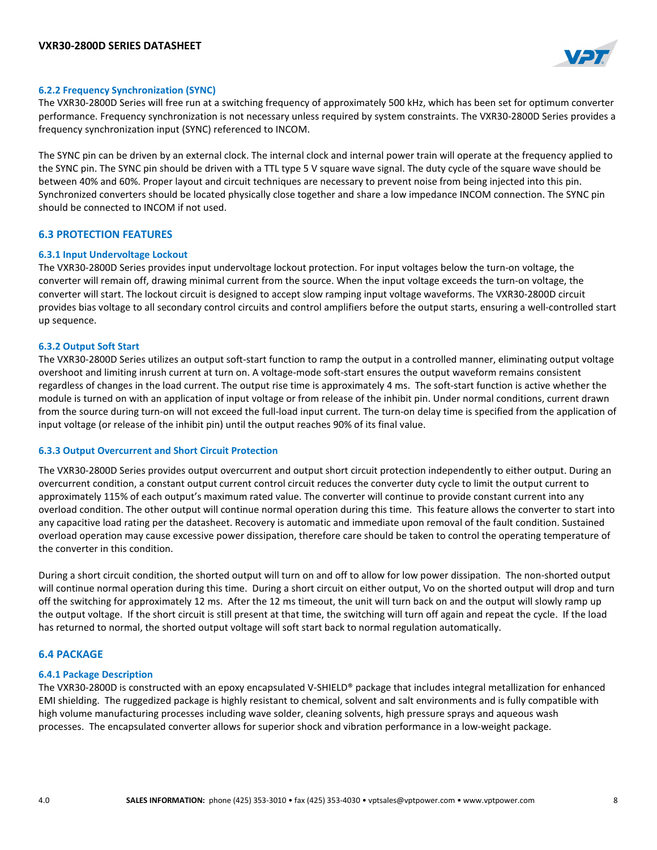

### **6.2.2 Frequency Synchronization (SYNC)**

The VXR30-2800D Series will free run at a switching frequency of approximately 500 kHz, which has been set for optimum converter performance. Frequency synchronization is not necessary unless required by system constraints. The VXR30-2800D Series provides a frequency synchronization input (SYNC) referenced to INCOM.

The SYNC pin can be driven by an external clock. The internal clock and internal power train will operate at the frequency applied to the SYNC pin. The SYNC pin should be driven with a TTL type 5 V square wave signal. The duty cycle of the square wave should be between 40% and 60%. Proper layout and circuit techniques are necessary to prevent noise from being injected into this pin. Synchronized converters should be located physically close together and share a low impedance INCOM connection. The SYNC pin should be connected to INCOM if not used.

### **6.3 PROTECTION FEATURES**

#### **6.3.1 Input Undervoltage Lockout**

The VXR30-2800D Series provides input undervoltage lockout protection. For input voltages below the turn-on voltage, the converter will remain off, drawing minimal current from the source. When the input voltage exceeds the turn-on voltage, the converter will start. The lockout circuit is designed to accept slow ramping input voltage waveforms. The VXR30-2800D circuit provides bias voltage to all secondary control circuits and control amplifiers before the output starts, ensuring a well-controlled start up sequence.

#### **6.3.2 Output Soft Start**

The VXR30-2800D Series utilizes an output soft-start function to ramp the output in a controlled manner, eliminating output voltage overshoot and limiting inrush current at turn on. A voltage-mode soft-start ensures the output waveform remains consistent regardless of changes in the load current. The output rise time is approximately 4 ms. The soft-start function is active whether the module is turned on with an application of input voltage or from release of the inhibit pin. Under normal conditions, current drawn from the source during turn-on will not exceed the full-load input current. The turn-on delay time is specified from the application of input voltage (or release of the inhibit pin) until the output reaches 90% of its final value.

#### **6.3.3 Output Overcurrent and Short Circuit Protection**

The VXR30-2800D Series provides output overcurrent and output short circuit protection independently to either output. During an overcurrent condition, a constant output current control circuit reduces the converter duty cycle to limit the output current to approximately 115% of each output's maximum rated value. The converter will continue to provide constant current into any overload condition. The other output will continue normal operation during this time. This feature allows the converter to start into any capacitive load rating per the datasheet. Recovery is automatic and immediate upon removal of the fault condition. Sustained overload operation may cause excessive power dissipation, therefore care should be taken to control the operating temperature of the converter in this condition.

During a short circuit condition, the shorted output will turn on and off to allow for low power dissipation. The non-shorted output will continue normal operation during this time. During a short circuit on either output, Vo on the shorted output will drop and turn off the switching for approximately 12 ms. After the 12 ms timeout, the unit will turn back on and the output will slowly ramp up the output voltage. If the short circuit is still present at that time, the switching will turn off again and repeat the cycle. If the load has returned to normal, the shorted output voltage will soft start back to normal regulation automatically.

# **6.4 PACKAGE**

#### **6.4.1 Package Description**

The VXR30-2800D is constructed with an epoxy encapsulated V-SHIELD® package that includes integral metallization for enhanced EMI shielding. The ruggedized package is highly resistant to chemical, solvent and salt environments and is fully compatible with high volume manufacturing processes including wave solder, cleaning solvents, high pressure sprays and aqueous wash processes. The encapsulated converter allows for superior shock and vibration performance in a low-weight package.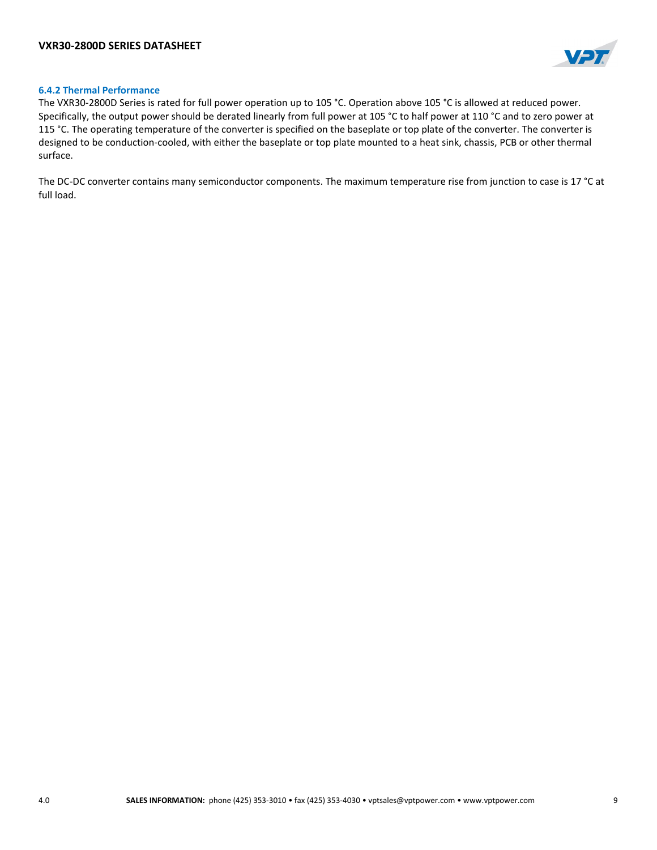

### **6.4.2 Thermal Performance**

The VXR30-2800D Series is rated for full power operation up to 105 °C. Operation above 105 °C is allowed at reduced power. Specifically, the output power should be derated linearly from full power at 105 °C to half power at 110 °C and to zero power at 115 °C. The operating temperature of the converter is specified on the baseplate or top plate of the converter. The converter is designed to be conduction-cooled, with either the baseplate or top plate mounted to a heat sink, chassis, PCB or other thermal surface.

The DC-DC converter contains many semiconductor components. The maximum temperature rise from junction to case is 17 °C at full load.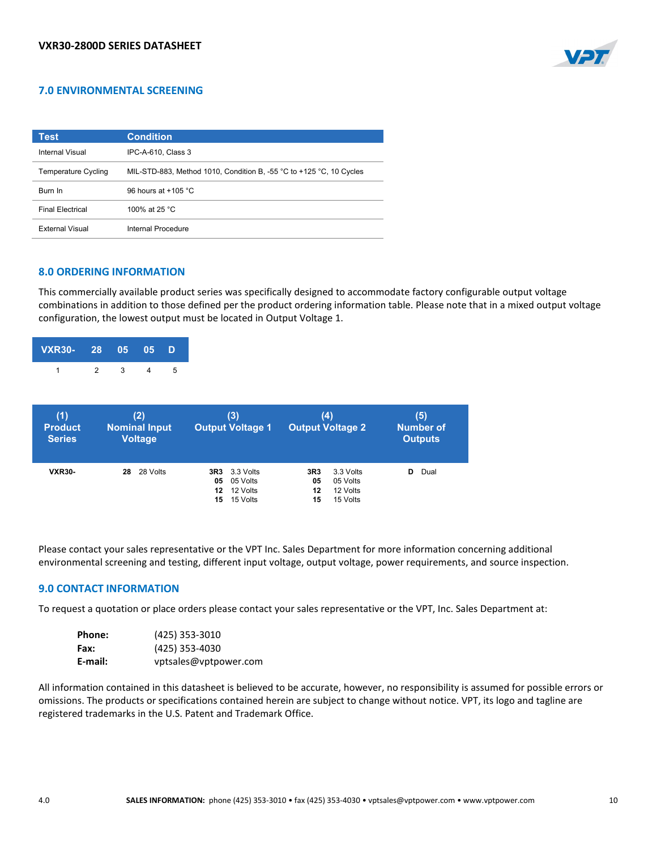

# **7.0 ENVIRONMENTAL SCREENING**

| Test                    | <b>Condition</b>                                                                        |
|-------------------------|-----------------------------------------------------------------------------------------|
| Internal Visual         | IPC-A-610, Class 3                                                                      |
| Temperature Cycling     | MIL-STD-883, Method 1010, Condition B, -55 $^{\circ}$ C to +125 $^{\circ}$ C, 10 Cycles |
| <b>Burn In</b>          | 96 hours at $+105$ °C.                                                                  |
| <b>Final Flectrical</b> | 100% at 25 °C                                                                           |
| <b>External Visual</b>  | Internal Procedure                                                                      |

# **8.0 ORDERING INFORMATION**

This commercially available product series was specifically designed to accommodate factory configurable output voltage combinations in addition to those defined per the product ordering information table. Please note that in a mixed output voltage configuration, the lowest output must be located in Output Voltage 1.

| VXR30- 28 05 05 D |  |  |  |
|-------------------|--|--|--|
|                   |  |  |  |

| (1)<br><b>Product</b><br><b>Series</b> | (2)<br><b>Nominal Input</b><br><b>Voltage</b> | (3)<br><b>Output Voltage 1</b>                                             | (4)<br><b>Output Voltage 2</b>                                         | (5)<br><b>Number of</b><br><b>Outputs</b> |
|----------------------------------------|-----------------------------------------------|----------------------------------------------------------------------------|------------------------------------------------------------------------|-------------------------------------------|
| <b>VXR30-</b>                          | 28 Volts<br>28                                | <b>3R3</b> 3.3 Volts<br>05 Volts<br>05<br>12 Volts<br>12<br>15 Volts<br>15 | 3.3 Volts<br>3R3<br>05 Volts<br>05<br>12 Volts<br>12<br>15 Volts<br>15 | Dual<br>D                                 |

Please contact your sales representative or the VPT Inc. Sales Department for more information concerning additional environmental screening and testing, different input voltage, output voltage, power requirements, and source inspection.

#### **9.0 CONTACT INFORMATION**

To request a quotation or place orders please contact your sales representative or the VPT, Inc. Sales Department at:

| Phone:  | (425) 353-3010        |
|---------|-----------------------|
| Fax:    | (425) 353-4030        |
| E-mail: | vptsales@vptpower.com |

All information contained in this datasheet is believed to be accurate, however, no responsibility is assumed for possible errors or omissions. The products or specifications contained herein are subject to change without notice. VPT, its logo and tagline are registered trademarks in the U.S. Patent and Trademark Office.